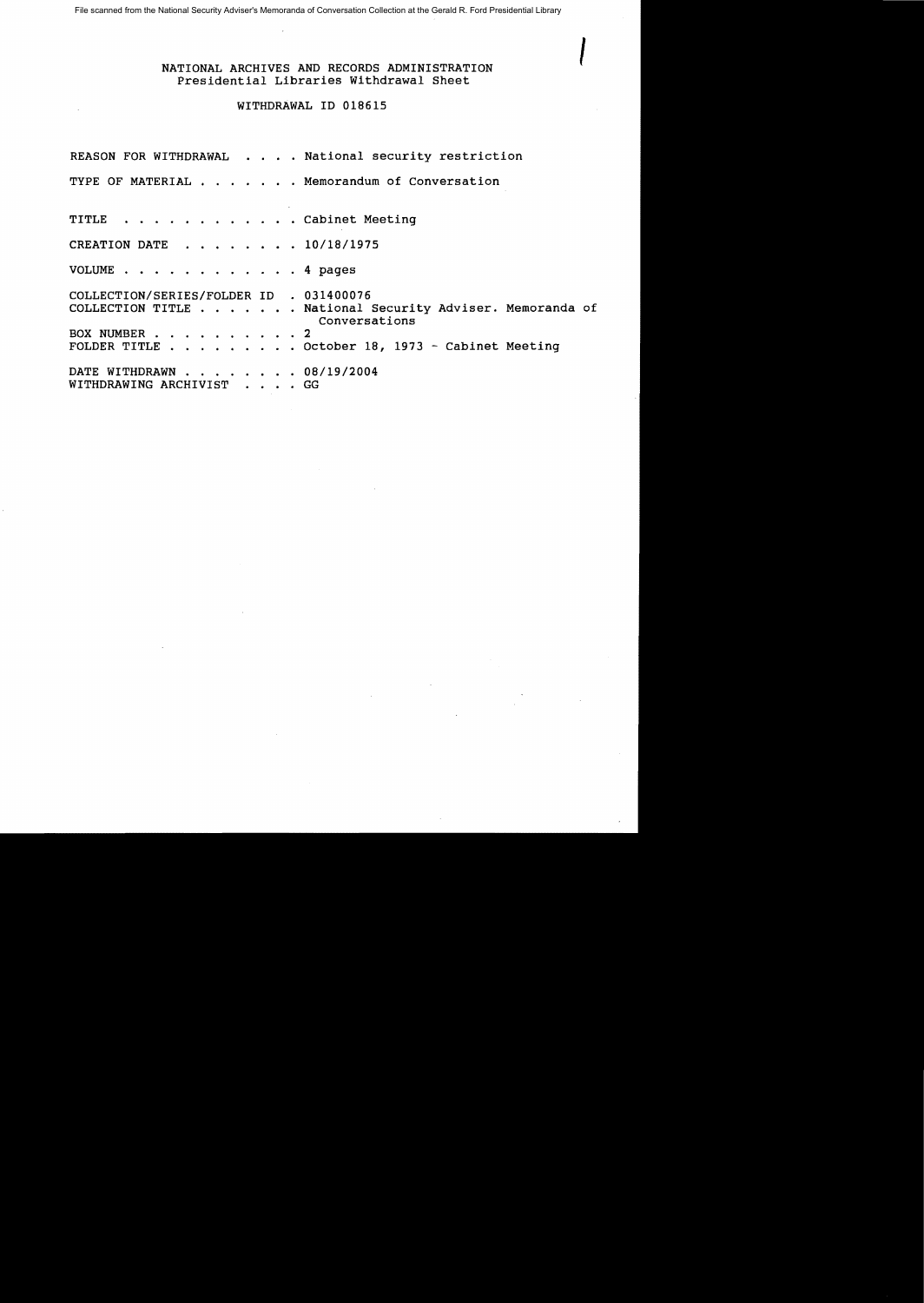File scanned from the National Security Adviser's Memoranda of Conversation Collection at the Gerald R. Ford Presidential Library

## I NATIONAL ARCHIVES AND RECORDS ADMINISTRATION Presidential Libraries Withdrawal Sheet

## WITHDRAWAL ID 018615

REASON FOR WITHDRAWAL . . . . National security restriction TYPE OF MATERIAL . . . . . . Memorandum of Conversation TITLE . . . . . . . . . . . . Cabinet Meeting CREATION DATE . . . . . . . 10/18/1975 VOLUME . . . . . . . . . . . . 4 pages COLLECTION/SERIES/FOLDER ID . 031400076 COLLECTION TITLE ....... National Security Adviser. Memoranda of Conversations BOX NUMBER . . . . . . . . . 2 FOLDER TITLE  $\ldots$  . . . . . . October 18, 1973 - Cabinet Meeting DATE WITHDRAWN . . . . . . . 08/19/2004 WITHDRAWING ARCHIVIST . . . . GG